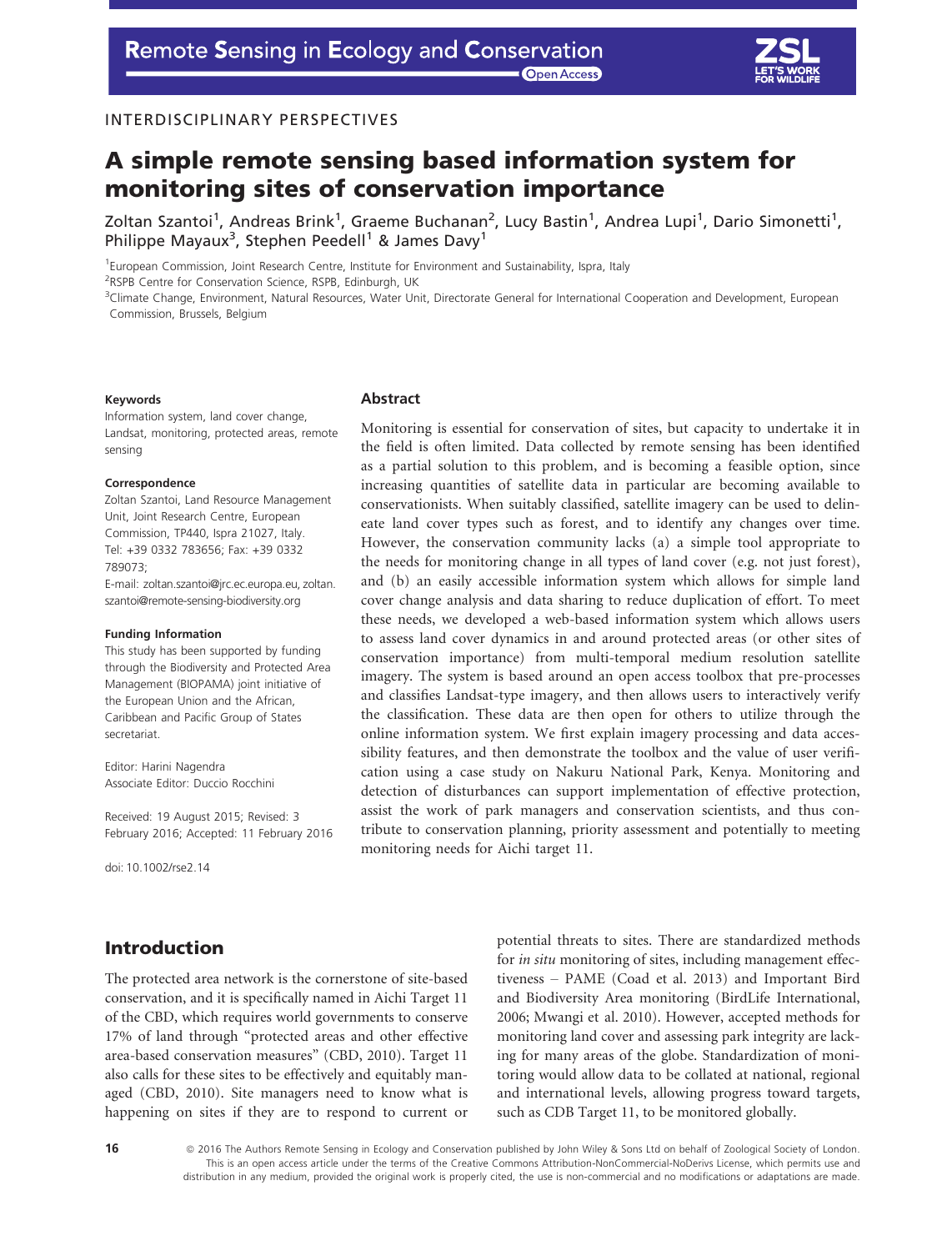## INTERDISCIPLINARY PERSPECTIVES

# A simple remote sensing based information system for monitoring sites of conservation importance

Zoltan Szantoi<sup>1</sup>, Andreas Brink<sup>1</sup>, Graeme Buchanan<sup>2</sup>, Lucy Bastin<sup>1</sup>, Andrea Lupi<sup>1</sup>, Dario Simonetti<sup>1</sup>, Philippe Mayaux<sup>3</sup>, Stephen Peedell<sup>1</sup> & James Davy<sup>1</sup>

<sup>1</sup>European Commission, Joint Research Centre, Institute for Environment and Sustainability, Ispra, Italy

<sup>2</sup>RSPB Centre for Conservation Science, RSPB, Edinburgh, UK

3 Climate Change, Environment, Natural Resources, Water Unit, Directorate General for International Cooperation and Development, European Commission, Brussels, Belgium

#### Keywords

Information system, land cover change, Landsat, monitoring, protected areas, remote sensing

#### Correspondence

Zoltan Szantoi, Land Resource Management Unit, Joint Research Centre, European Commission, TP440, Ispra 21027, Italy. Tel: +39 0332 783656; Fax: +39 0332 789073;

E-mail: zoltan.szantoi@jrc.ec.europa.eu, zoltan. szantoi@remote-sensing-biodiversity.org

#### Funding Information

This study has been supported by funding through the Biodiversity and Protected Area Management (BIOPAMA) joint initiative of the European Union and the African, Caribbean and Pacific Group of States secretariat.

Editor: Harini Nagendra Associate Editor: Duccio Rocchini

Received: 19 August 2015; Revised: 3 February 2016; Accepted: 11 February 2016

doi: 10.1002/rse2.14

# Introduction

The protected area network is the cornerstone of site-based conservation, and it is specifically named in Aichi Target 11 of the CBD, which requires world governments to conserve 17% of land through "protected areas and other effective area-based conservation measures" (CBD, 2010). Target 11 also calls for these sites to be effectively and equitably managed (CBD, 2010). Site managers need to know what is happening on sites if they are to respond to current or

### Abstract

Monitoring is essential for conservation of sites, but capacity to undertake it in the field is often limited. Data collected by remote sensing has been identified as a partial solution to this problem, and is becoming a feasible option, since increasing quantities of satellite data in particular are becoming available to conservationists. When suitably classified, satellite imagery can be used to delineate land cover types such as forest, and to identify any changes over time. However, the conservation community lacks (a) a simple tool appropriate to the needs for monitoring change in all types of land cover (e.g. not just forest), and (b) an easily accessible information system which allows for simple land cover change analysis and data sharing to reduce duplication of effort. To meet these needs, we developed a web-based information system which allows users to assess land cover dynamics in and around protected areas (or other sites of conservation importance) from multi-temporal medium resolution satellite imagery. The system is based around an open access toolbox that pre-processes and classifies Landsat-type imagery, and then allows users to interactively verify the classification. These data are then open for others to utilize through the online information system. We first explain imagery processing and data accessibility features, and then demonstrate the toolbox and the value of user verification using a case study on Nakuru National Park, Kenya. Monitoring and detection of disturbances can support implementation of effective protection, assist the work of park managers and conservation scientists, and thus contribute to conservation planning, priority assessment and potentially to meeting monitoring needs for Aichi target 11.

> potential threats to sites. There are standardized methods for in situ monitoring of sites, including management effectiveness – PAME (Coad et al. 2013) and Important Bird and Biodiversity Area monitoring (BirdLife International, 2006; Mwangi et al. 2010). However, accepted methods for monitoring land cover and assessing park integrity are lacking for many areas of the globe. Standardization of monitoring would allow data to be collated at national, regional and international levels, allowing progress toward targets, such as CDB Target 11, to be monitored globally.

16 **16 2016** The Authors Remote Sensing in Ecology and Conservation published by John Wiley & Sons Ltd on behalf of Zoological Society of London. This is an open access article under the terms of the [Creative Commons Attribution-NonCommercial-NoDerivs](http://creativecommons.org/licenses/by-nc-nd/4.0/) License, which permits use and distribution in any medium, provided the original work is properly cited, the use is non-commercial and no modifications or adaptations are made.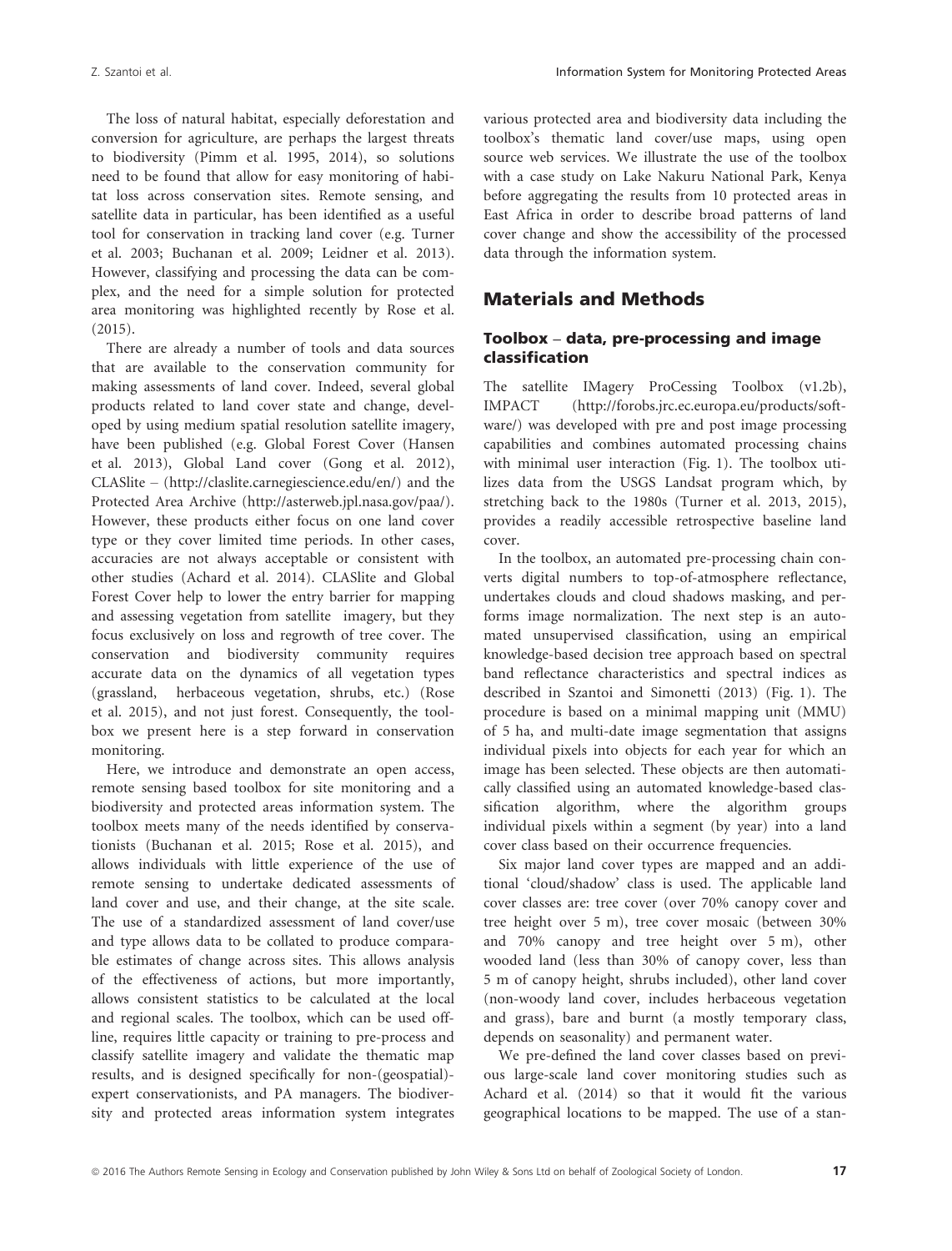The loss of natural habitat, especially deforestation and conversion for agriculture, are perhaps the largest threats to biodiversity (Pimm et al. 1995, 2014), so solutions need to be found that allow for easy monitoring of habitat loss across conservation sites. Remote sensing, and satellite data in particular, has been identified as a useful tool for conservation in tracking land cover (e.g. Turner et al. 2003; Buchanan et al. 2009; Leidner et al. 2013). However, classifying and processing the data can be complex, and the need for a simple solution for protected area monitoring was highlighted recently by Rose et al. (2015).

There are already a number of tools and data sources that are available to the conservation community for making assessments of land cover. Indeed, several global products related to land cover state and change, developed by using medium spatial resolution satellite imagery, have been published (e.g. Global Forest Cover (Hansen et al. 2013), Global Land cover (Gong et al. 2012), CLASlite – ([http://claslite.carnegiescience.edu/en/\)](http://claslite.carnegiescience.edu/en/) and the Protected Area Archive ([http://asterweb.jpl.nasa.gov/paa/\)](http://asterweb.jpl.nasa.gov/paa/). However, these products either focus on one land cover type or they cover limited time periods. In other cases, accuracies are not always acceptable or consistent with other studies (Achard et al. 2014). CLASlite and Global Forest Cover help to lower the entry barrier for mapping and assessing vegetation from satellite imagery, but they focus exclusively on loss and regrowth of tree cover. The conservation and biodiversity community requires accurate data on the dynamics of all vegetation types (grassland, herbaceous vegetation, shrubs, etc.) (Rose et al. 2015), and not just forest. Consequently, the toolbox we present here is a step forward in conservation monitoring.

Here, we introduce and demonstrate an open access, remote sensing based toolbox for site monitoring and a biodiversity and protected areas information system. The toolbox meets many of the needs identified by conservationists (Buchanan et al. 2015; Rose et al. 2015), and allows individuals with little experience of the use of remote sensing to undertake dedicated assessments of land cover and use, and their change, at the site scale. The use of a standardized assessment of land cover/use and type allows data to be collated to produce comparable estimates of change across sites. This allows analysis of the effectiveness of actions, but more importantly, allows consistent statistics to be calculated at the local and regional scales. The toolbox, which can be used offline, requires little capacity or training to pre-process and classify satellite imagery and validate the thematic map results, and is designed specifically for non-(geospatial) expert conservationists, and PA managers. The biodiversity and protected areas information system integrates various protected area and biodiversity data including the toolbox's thematic land cover/use maps, using open source web services. We illustrate the use of the toolbox with a case study on Lake Nakuru National Park, Kenya before aggregating the results from 10 protected areas in East Africa in order to describe broad patterns of land cover change and show the accessibility of the processed data through the information system.

# Materials and Methods

### Toolbox – data, pre-processing and image classification

The satellite IMagery ProCessing Toolbox (v1.2b), IMPACT [\(http://forobs.jrc.ec.europa.eu/products/soft](http://forobs.jrc.ec.europa.eu/products/software/)[ware/](http://forobs.jrc.ec.europa.eu/products/software/)) was developed with pre and post image processing capabilities and combines automated processing chains with minimal user interaction (Fig. 1). The toolbox utilizes data from the USGS Landsat program which, by stretching back to the 1980s (Turner et al. 2013, 2015), provides a readily accessible retrospective baseline land cover.

In the toolbox, an automated pre-processing chain converts digital numbers to top-of-atmosphere reflectance, undertakes clouds and cloud shadows masking, and performs image normalization. The next step is an automated unsupervised classification, using an empirical knowledge-based decision tree approach based on spectral band reflectance characteristics and spectral indices as described in Szantoi and Simonetti (2013) (Fig. 1). The procedure is based on a minimal mapping unit (MMU) of 5 ha, and multi-date image segmentation that assigns individual pixels into objects for each year for which an image has been selected. These objects are then automatically classified using an automated knowledge-based classification algorithm, where the algorithm groups individual pixels within a segment (by year) into a land cover class based on their occurrence frequencies.

Six major land cover types are mapped and an additional 'cloud/shadow' class is used. The applicable land cover classes are: tree cover (over 70% canopy cover and tree height over 5 m), tree cover mosaic (between 30% and 70% canopy and tree height over 5 m), other wooded land (less than 30% of canopy cover, less than 5 m of canopy height, shrubs included), other land cover (non-woody land cover, includes herbaceous vegetation and grass), bare and burnt (a mostly temporary class, depends on seasonality) and permanent water.

We pre-defined the land cover classes based on previous large-scale land cover monitoring studies such as Achard et al. (2014) so that it would fit the various geographical locations to be mapped. The use of a stan-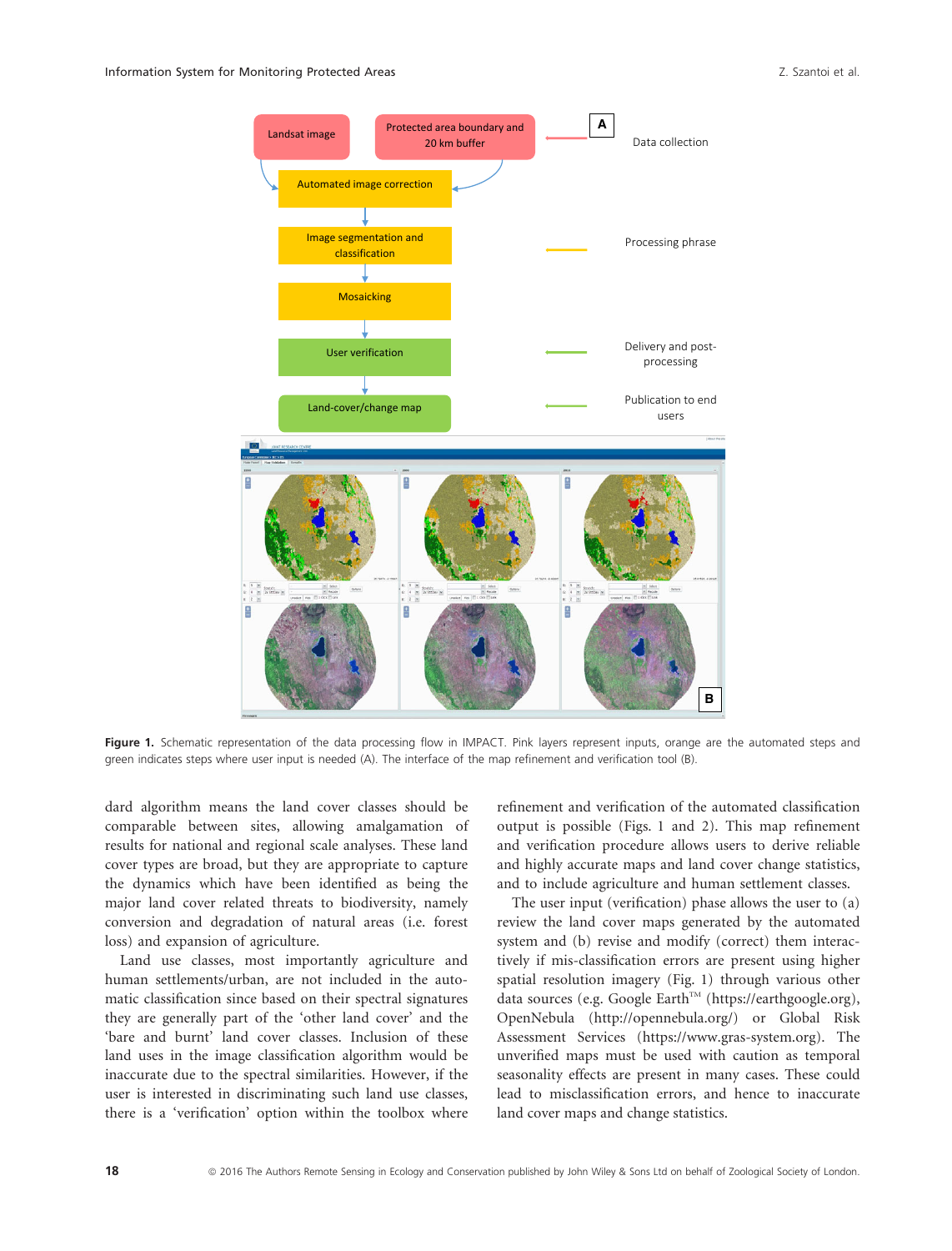

Fiqure 1. Schematic representation of the data processing flow in IMPACT. Pink layers represent inputs, orange are the automated steps and green indicates steps where user input is needed (A). The interface of the map refinement and verification tool (B).

dard algorithm means the land cover classes should be comparable between sites, allowing amalgamation of results for national and regional scale analyses. These land cover types are broad, but they are appropriate to capture the dynamics which have been identified as being the major land cover related threats to biodiversity, namely conversion and degradation of natural areas (i.e. forest loss) and expansion of agriculture.

Land use classes, most importantly agriculture and human settlements/urban, are not included in the automatic classification since based on their spectral signatures they are generally part of the 'other land cover' and the 'bare and burnt' land cover classes. Inclusion of these land uses in the image classification algorithm would be inaccurate due to the spectral similarities. However, if the user is interested in discriminating such land use classes, there is a 'verification' option within the toolbox where

refinement and verification of the automated classification output is possible (Figs. 1 and 2). This map refinement and verification procedure allows users to derive reliable and highly accurate maps and land cover change statistics, and to include agriculture and human settlement classes.

The user input (verification) phase allows the user to (a) review the land cover maps generated by the automated system and (b) revise and modify (correct) them interactively if mis-classification errors are present using higher spatial resolution imagery (Fig. 1) through various other data sources (e.g. Google Earth™ [\(https://earthgoogle.org](https://earthgoogle.org)), OpenNebula ([http://opennebula.org/\)](http://opennebula.org/) or Global Risk Assessment Services [\(https://www.gras-system.org\)](https://www.gras-system.org). The unverified maps must be used with caution as temporal seasonality effects are present in many cases. These could lead to misclassification errors, and hence to inaccurate land cover maps and change statistics.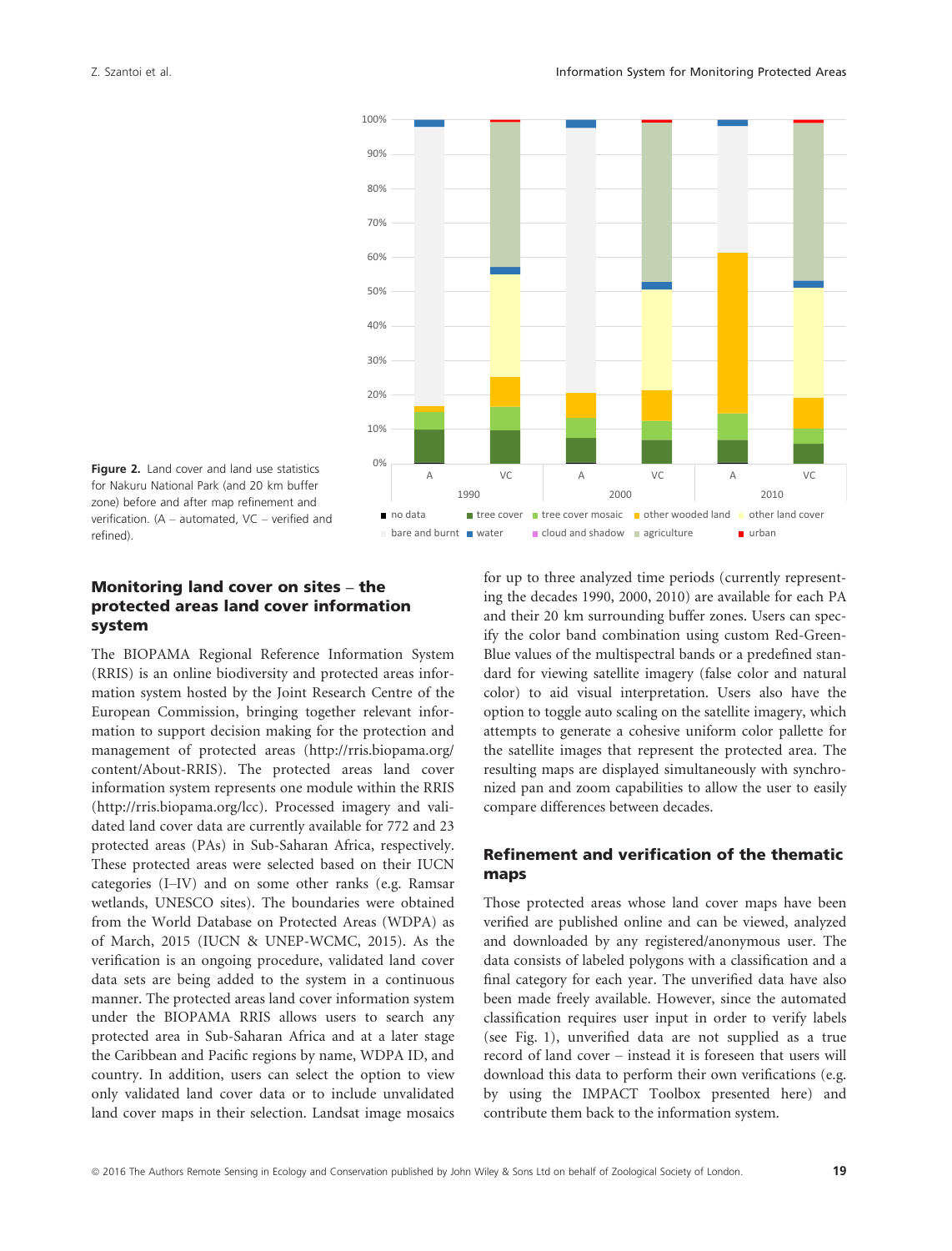

Figure 2. Land cover and land use statistics for Nakuru National Park (and 20 km buffer zone) before and after map refinement and verification. (A – automated, VC – verified and refined).

# Monitoring land cover on sites – the protected areas land cover information system

The BIOPAMA Regional Reference Information System (RRIS) is an online biodiversity and protected areas information system hosted by the Joint Research Centre of the European Commission, bringing together relevant information to support decision making for the protection and management of protected areas [\(http://rris.biopama.org/](http://rris.biopama.org/content/About-RRIS) [content/About-RRIS](http://rris.biopama.org/content/About-RRIS)). The protected areas land cover information system represents one module within the RRIS ([http://rris.biopama.org/lcc\)](http://rris.biopama.org/lcc). Processed imagery and validated land cover data are currently available for 772 and 23 protected areas (PAs) in Sub-Saharan Africa, respectively. These protected areas were selected based on their IUCN categories (I–IV) and on some other ranks (e.g. Ramsar wetlands, UNESCO sites). The boundaries were obtained from the World Database on Protected Areas (WDPA) as of March, 2015 (IUCN & UNEP-WCMC, 2015). As the verification is an ongoing procedure, validated land cover data sets are being added to the system in a continuous manner. The protected areas land cover information system under the BIOPAMA RRIS allows users to search any protected area in Sub-Saharan Africa and at a later stage the Caribbean and Pacific regions by name, WDPA ID, and country. In addition, users can select the option to view only validated land cover data or to include unvalidated land cover maps in their selection. Landsat image mosaics for up to three analyzed time periods (currently representing the decades 1990, 2000, 2010) are available for each PA and their 20 km surrounding buffer zones. Users can specify the color band combination using custom Red-Green-Blue values of the multispectral bands or a predefined standard for viewing satellite imagery (false color and natural color) to aid visual interpretation. Users also have the option to toggle auto scaling on the satellite imagery, which attempts to generate a cohesive uniform color pallette for the satellite images that represent the protected area. The resulting maps are displayed simultaneously with synchronized pan and zoom capabilities to allow the user to easily compare differences between decades.

### Refinement and verification of the thematic maps

Those protected areas whose land cover maps have been verified are published online and can be viewed, analyzed and downloaded by any registered/anonymous user. The data consists of labeled polygons with a classification and a final category for each year. The unverified data have also been made freely available. However, since the automated classification requires user input in order to verify labels (see Fig. 1), unverified data are not supplied as a true record of land cover – instead it is foreseen that users will download this data to perform their own verifications (e.g. by using the IMPACT Toolbox presented here) and contribute them back to the information system.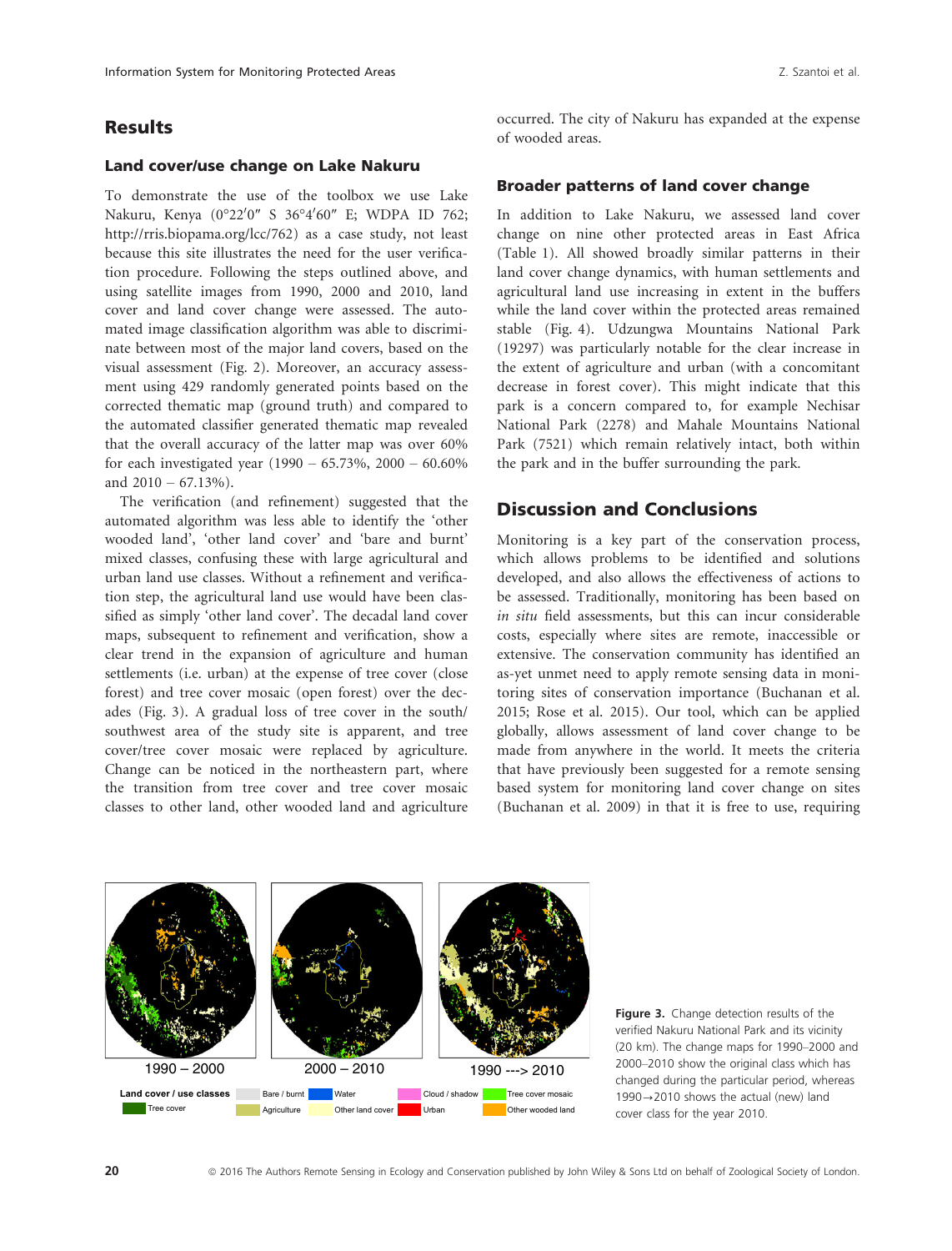# Results

#### Land cover/use change on Lake Nakuru

To demonstrate the use of the toolbox we use Lake Nakuru, Kenya (0°22<sup>0</sup> 0″ S 36°4<sup>0</sup> 60″ E; WDPA ID 762; <http://rris.biopama.org/lcc/762>) as a case study, not least because this site illustrates the need for the user verification procedure. Following the steps outlined above, and using satellite images from 1990, 2000 and 2010, land cover and land cover change were assessed. The automated image classification algorithm was able to discriminate between most of the major land covers, based on the visual assessment (Fig. 2). Moreover, an accuracy assessment using 429 randomly generated points based on the corrected thematic map (ground truth) and compared to the automated classifier generated thematic map revealed that the overall accuracy of the latter map was over 60% for each investigated year (1990 – 65.73%, 2000 – 60.60% and  $2010 - 67.13%$ ).

The verification (and refinement) suggested that the automated algorithm was less able to identify the 'other wooded land', 'other land cover' and 'bare and burnt' mixed classes, confusing these with large agricultural and urban land use classes. Without a refinement and verification step, the agricultural land use would have been classified as simply 'other land cover'. The decadal land cover maps, subsequent to refinement and verification, show a clear trend in the expansion of agriculture and human settlements (i.e. urban) at the expense of tree cover (close forest) and tree cover mosaic (open forest) over the decades (Fig. 3). A gradual loss of tree cover in the south/ southwest area of the study site is apparent, and tree cover/tree cover mosaic were replaced by agriculture. Change can be noticed in the northeastern part, where the transition from tree cover and tree cover mosaic classes to other land, other wooded land and agriculture occurred. The city of Nakuru has expanded at the expense of wooded areas.

### Broader patterns of land cover change

In addition to Lake Nakuru, we assessed land cover change on nine other protected areas in East Africa (Table 1). All showed broadly similar patterns in their land cover change dynamics, with human settlements and agricultural land use increasing in extent in the buffers while the land cover within the protected areas remained stable (Fig. 4). Udzungwa Mountains National Park (19297) was particularly notable for the clear increase in the extent of agriculture and urban (with a concomitant decrease in forest cover). This might indicate that this park is a concern compared to, for example Nechisar National Park (2278) and Mahale Mountains National Park (7521) which remain relatively intact, both within the park and in the buffer surrounding the park.

# Discussion and Conclusions

Monitoring is a key part of the conservation process, which allows problems to be identified and solutions developed, and also allows the effectiveness of actions to be assessed. Traditionally, monitoring has been based on in situ field assessments, but this can incur considerable costs, especially where sites are remote, inaccessible or extensive. The conservation community has identified an as-yet unmet need to apply remote sensing data in monitoring sites of conservation importance (Buchanan et al. 2015; Rose et al. 2015). Our tool, which can be applied globally, allows assessment of land cover change to be made from anywhere in the world. It meets the criteria that have previously been suggested for a remote sensing based system for monitoring land cover change on sites (Buchanan et al. 2009) in that it is free to use, requiring



Figure 3. Change detection results of the verified Nakuru National Park and its vicinity (20 km). The change maps for 1990–2000 and 2000–2010 show the original class which has changed during the particular period, whereas  $1990 \rightarrow 2010$  shows the actual (new) land cover class for the year 2010.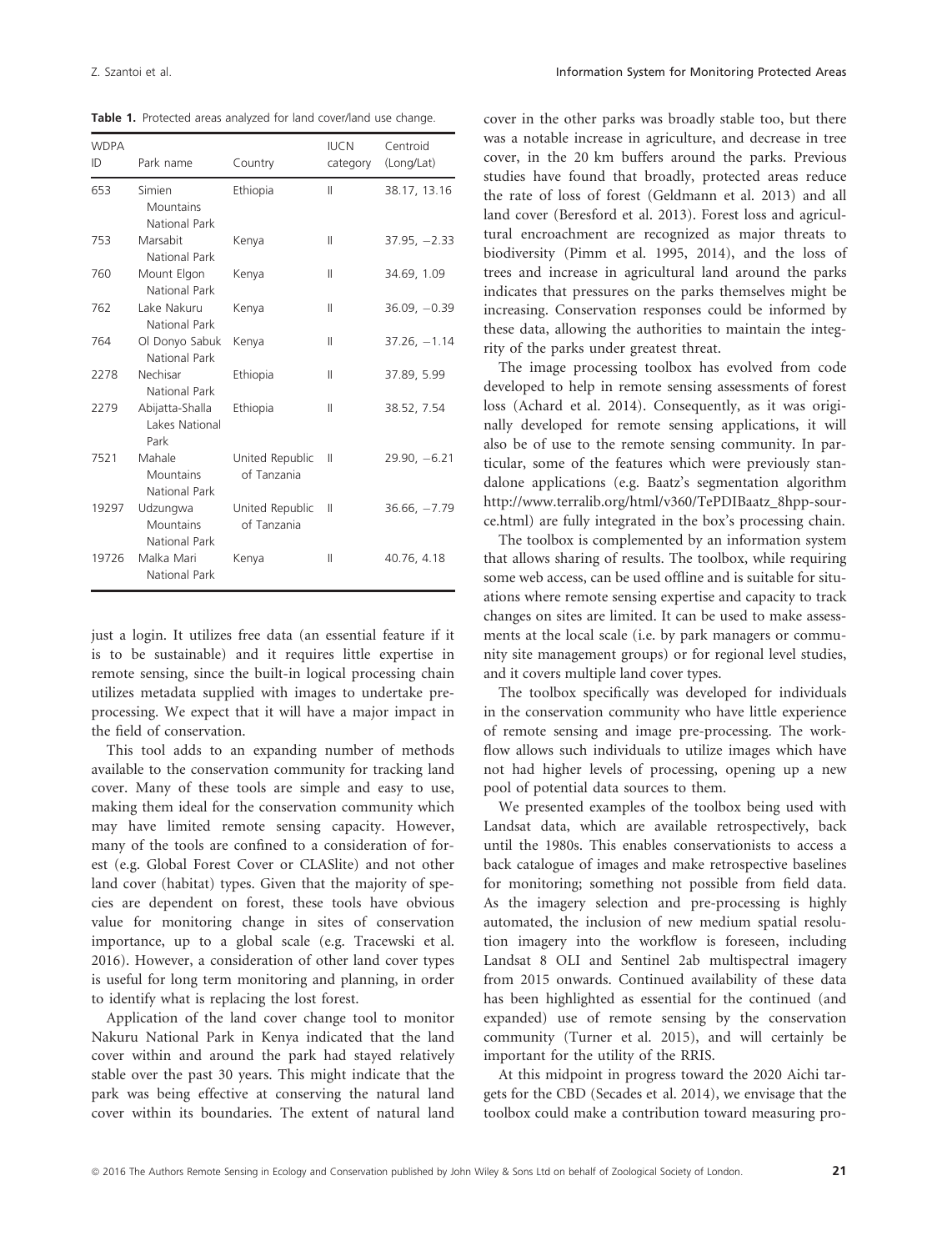Table 1. Protected areas analyzed for land cover/land use change.

| <b>WDPA</b><br>ID | Park name                                     | Country                        | <b>IUCN</b><br>category | Centroid<br>(Long/Lat) |
|-------------------|-----------------------------------------------|--------------------------------|-------------------------|------------------------|
| 653               | Simien<br>Mountains<br>National Park          | Ethiopia                       | $\mathbb{I}$            | 38.17, 13.16           |
| 753               | Marsabit<br>National Park                     | Kenya                          | $\mathbb{I}$            | $37.95, -2.33$         |
| 760               | Mount Elgon<br>National Park                  | Kenya                          | Ш                       | 34.69, 1.09            |
| 762               | Lake Nakuru<br>National Park                  | Kenya                          | $\mathbb{I}$            | $36.09, -0.39$         |
| 764               | Ol Donyo Sabuk<br>National Park               | Kenya                          | $\mathbf{H}$            | $37.26, -1.14$         |
| 2278              | Nechisar<br>National Park                     | Ethiopia                       | Ш                       | 37.89, 5.99            |
| 2279              | Abijatta-Shalla<br>Lakes National<br>Park     | Ethiopia                       | $\mathbb{I}$            | 38.52, 7.54            |
| 7521              | Mahale<br><b>Mountains</b><br>National Park   | United Republic<br>of Tanzania | $\parallel$             | $29.90, -6.21$         |
| 19297             | Udzungwa<br><b>Mountains</b><br>National Park | United Republic<br>of Tanzania | $\mathbb{I}$            | $36.66, -7.79$         |
| 19726             | Malka Mari<br>National Park                   | Kenya                          | Ш                       | 40.76, 4.18            |

just a login. It utilizes free data (an essential feature if it is to be sustainable) and it requires little expertise in remote sensing, since the built-in logical processing chain utilizes metadata supplied with images to undertake preprocessing. We expect that it will have a major impact in the field of conservation.

This tool adds to an expanding number of methods available to the conservation community for tracking land cover. Many of these tools are simple and easy to use, making them ideal for the conservation community which may have limited remote sensing capacity. However, many of the tools are confined to a consideration of forest (e.g. Global Forest Cover or CLASlite) and not other land cover (habitat) types. Given that the majority of species are dependent on forest, these tools have obvious value for monitoring change in sites of conservation importance, up to a global scale (e.g. Tracewski et al. 2016). However, a consideration of other land cover types is useful for long term monitoring and planning, in order to identify what is replacing the lost forest.

Application of the land cover change tool to monitor Nakuru National Park in Kenya indicated that the land cover within and around the park had stayed relatively stable over the past 30 years. This might indicate that the park was being effective at conserving the natural land cover within its boundaries. The extent of natural land cover in the other parks was broadly stable too, but there was a notable increase in agriculture, and decrease in tree cover, in the 20 km buffers around the parks. Previous studies have found that broadly, protected areas reduce the rate of loss of forest (Geldmann et al. 2013) and all land cover (Beresford et al. 2013). Forest loss and agricultural encroachment are recognized as major threats to biodiversity (Pimm et al. 1995, 2014), and the loss of trees and increase in agricultural land around the parks indicates that pressures on the parks themselves might be increasing. Conservation responses could be informed by these data, allowing the authorities to maintain the integrity of the parks under greatest threat.

The image processing toolbox has evolved from code developed to help in remote sensing assessments of forest loss (Achard et al. 2014). Consequently, as it was originally developed for remote sensing applications, it will also be of use to the remote sensing community. In particular, some of the features which were previously standalone applications (e.g. Baatz's segmentation algorithm [http://www.terralib.org/html/v360/TePDIBaatz\\_8hpp-sour](http://www.terralib.org/html/v360/TePDIBaatz_8hpp-source.html)[ce.html\)](http://www.terralib.org/html/v360/TePDIBaatz_8hpp-source.html) are fully integrated in the box's processing chain.

The toolbox is complemented by an information system that allows sharing of results. The toolbox, while requiring some web access, can be used offline and is suitable for situations where remote sensing expertise and capacity to track changes on sites are limited. It can be used to make assessments at the local scale (i.e. by park managers or community site management groups) or for regional level studies, and it covers multiple land cover types.

The toolbox specifically was developed for individuals in the conservation community who have little experience of remote sensing and image pre-processing. The workflow allows such individuals to utilize images which have not had higher levels of processing, opening up a new pool of potential data sources to them.

We presented examples of the toolbox being used with Landsat data, which are available retrospectively, back until the 1980s. This enables conservationists to access a back catalogue of images and make retrospective baselines for monitoring; something not possible from field data. As the imagery selection and pre-processing is highly automated, the inclusion of new medium spatial resolution imagery into the workflow is foreseen, including Landsat 8 OLI and Sentinel 2ab multispectral imagery from 2015 onwards. Continued availability of these data has been highlighted as essential for the continued (and expanded) use of remote sensing by the conservation community (Turner et al. 2015), and will certainly be important for the utility of the RRIS.

At this midpoint in progress toward the 2020 Aichi targets for the CBD (Secades et al. 2014), we envisage that the toolbox could make a contribution toward measuring pro-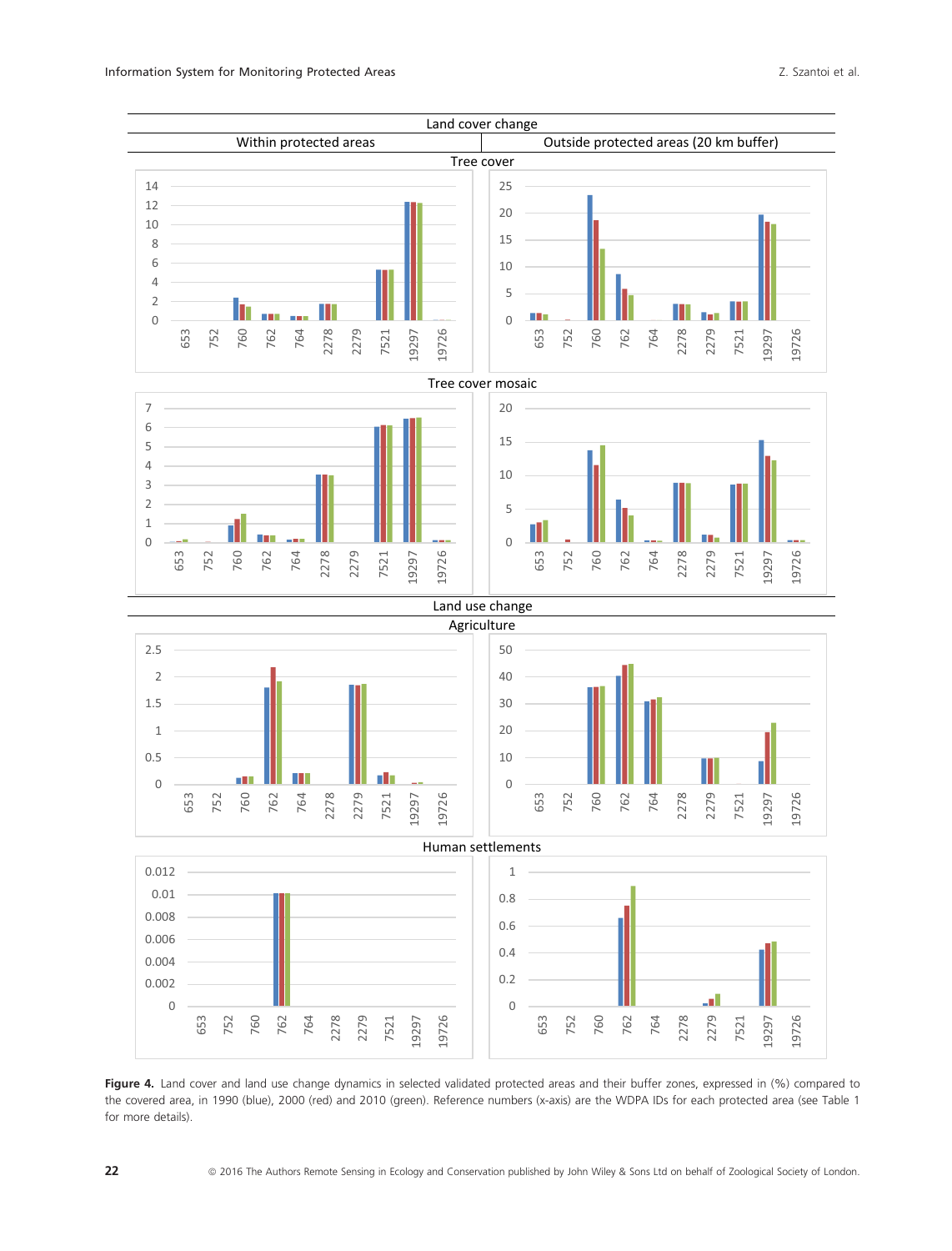

Figure 4. Land cover and land use change dynamics in selected validated protected areas and their buffer zones, expressed in (%) compared to the covered area, in 1990 (blue), 2000 (red) and 2010 (green). Reference numbers (x-axis) are the WDPA IDs for each protected area (see Table 1 for more details).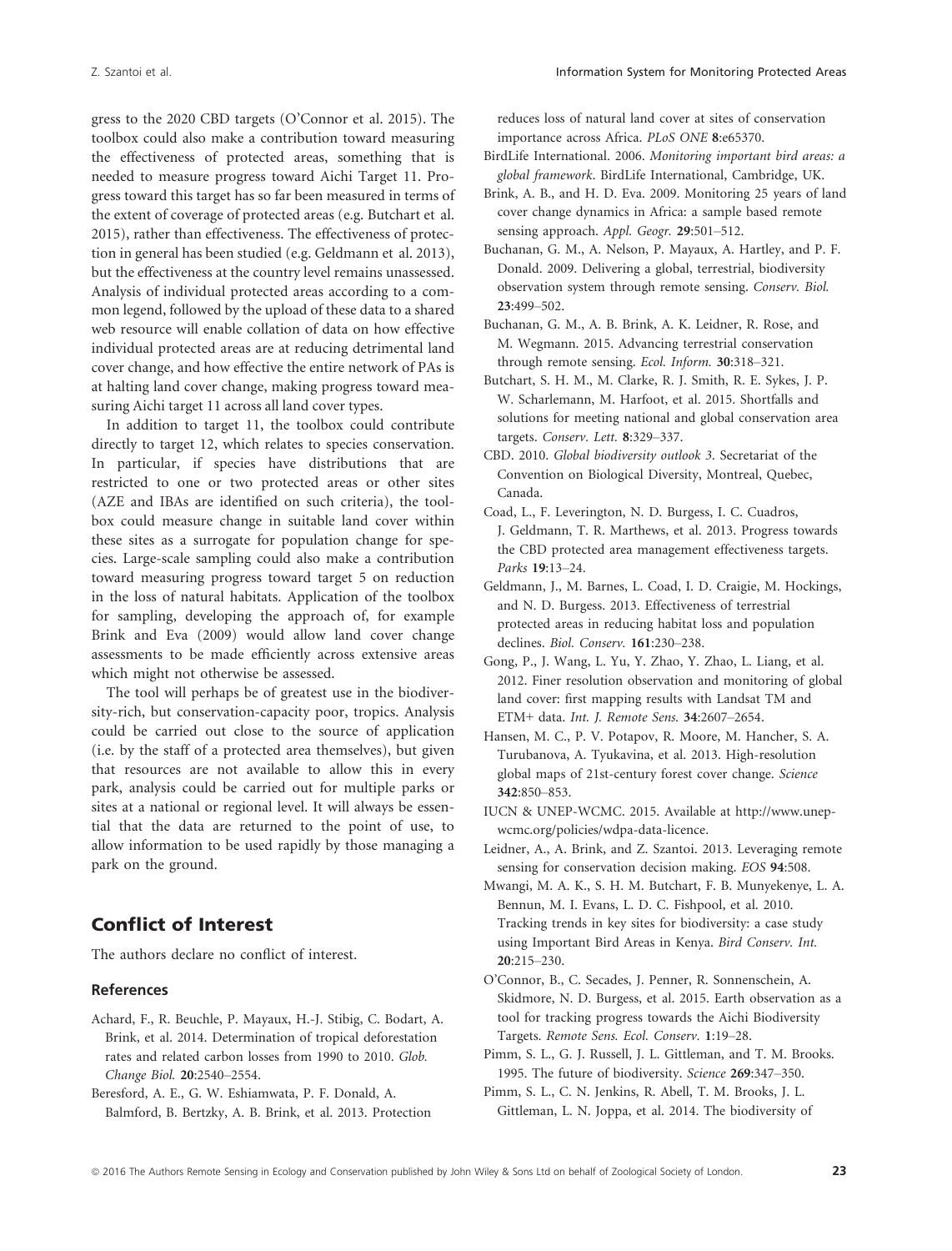gress to the 2020 CBD targets (O'Connor et al. 2015). The toolbox could also make a contribution toward measuring the effectiveness of protected areas, something that is needed to measure progress toward Aichi Target 11. Progress toward this target has so far been measured in terms of the extent of coverage of protected areas (e.g. Butchart et al. 2015), rather than effectiveness. The effectiveness of protection in general has been studied (e.g. Geldmann et al. 2013), but the effectiveness at the country level remains unassessed. Analysis of individual protected areas according to a common legend, followed by the upload of these data to a shared web resource will enable collation of data on how effective individual protected areas are at reducing detrimental land cover change, and how effective the entire network of PAs is at halting land cover change, making progress toward measuring Aichi target 11 across all land cover types.

In addition to target 11, the toolbox could contribute directly to target 12, which relates to species conservation. In particular, if species have distributions that are restricted to one or two protected areas or other sites (AZE and IBAs are identified on such criteria), the toolbox could measure change in suitable land cover within these sites as a surrogate for population change for species. Large-scale sampling could also make a contribution toward measuring progress toward target 5 on reduction in the loss of natural habitats. Application of the toolbox for sampling, developing the approach of, for example Brink and Eva (2009) would allow land cover change assessments to be made efficiently across extensive areas which might not otherwise be assessed.

The tool will perhaps be of greatest use in the biodiversity-rich, but conservation-capacity poor, tropics. Analysis could be carried out close to the source of application (i.e. by the staff of a protected area themselves), but given that resources are not available to allow this in every park, analysis could be carried out for multiple parks or sites at a national or regional level. It will always be essential that the data are returned to the point of use, to allow information to be used rapidly by those managing a park on the ground.

# Conflict of Interest

The authors declare no conflict of interest.

#### References

Achard, F., R. Beuchle, P. Mayaux, H.-J. Stibig, C. Bodart, A. Brink, et al. 2014. Determination of tropical deforestation rates and related carbon losses from 1990 to 2010. Glob. Change Biol. 20:2540–2554.

Beresford, A. E., G. W. Eshiamwata, P. F. Donald, A. Balmford, B. Bertzky, A. B. Brink, et al. 2013. Protection reduces loss of natural land cover at sites of conservation importance across Africa. PLoS ONE 8:e65370.

- BirdLife International. 2006. Monitoring important bird areas: a global framework. BirdLife International, Cambridge, UK.
- Brink, A. B., and H. D. Eva. 2009. Monitoring 25 years of land cover change dynamics in Africa: a sample based remote sensing approach. Appl. Geogr. 29:501-512.
- Buchanan, G. M., A. Nelson, P. Mayaux, A. Hartley, and P. F. Donald. 2009. Delivering a global, terrestrial, biodiversity observation system through remote sensing. Conserv. Biol. 23:499–502.
- Buchanan, G. M., A. B. Brink, A. K. Leidner, R. Rose, and M. Wegmann. 2015. Advancing terrestrial conservation through remote sensing. Ecol. Inform. 30:318–321.
- Butchart, S. H. M., M. Clarke, R. J. Smith, R. E. Sykes, J. P. W. Scharlemann, M. Harfoot, et al. 2015. Shortfalls and solutions for meeting national and global conservation area targets. Conserv. Lett. 8:329–337.
- CBD. 2010. Global biodiversity outlook 3. Secretariat of the Convention on Biological Diversity, Montreal, Quebec, Canada.
- Coad, L., F. Leverington, N. D. Burgess, I. C. Cuadros, J. Geldmann, T. R. Marthews, et al. 2013. Progress towards the CBD protected area management effectiveness targets. Parks 19:13–24.
- Geldmann, J., M. Barnes, L. Coad, I. D. Craigie, M. Hockings, and N. D. Burgess. 2013. Effectiveness of terrestrial protected areas in reducing habitat loss and population declines. Biol. Conserv. 161:230–238.
- Gong, P., J. Wang, L. Yu, Y. Zhao, Y. Zhao, L. Liang, et al. 2012. Finer resolution observation and monitoring of global land cover: first mapping results with Landsat TM and ETM+ data. Int. J. Remote Sens. 34:2607–2654.
- Hansen, M. C., P. V. Potapov, R. Moore, M. Hancher, S. A. Turubanova, A. Tyukavina, et al. 2013. High-resolution global maps of 21st-century forest cover change. Science 342:850–853.
- IUCN & UNEP-WCMC. 2015. Available at [http://www.unep](http://www.unep-wcmc.org/policies/wdpa-data-licence)[wcmc.org/policies/wdpa-data-licence](http://www.unep-wcmc.org/policies/wdpa-data-licence).
- Leidner, A., A. Brink, and Z. Szantoi. 2013. Leveraging remote sensing for conservation decision making. EOS 94:508.
- Mwangi, M. A. K., S. H. M. Butchart, F. B. Munyekenye, L. A. Bennun, M. I. Evans, L. D. C. Fishpool, et al. 2010. Tracking trends in key sites for biodiversity: a case study using Important Bird Areas in Kenya. Bird Conserv. Int. 20:215–230.
- O'Connor, B., C. Secades, J. Penner, R. Sonnenschein, A. Skidmore, N. D. Burgess, et al. 2015. Earth observation as a tool for tracking progress towards the Aichi Biodiversity Targets. Remote Sens. Ecol. Conserv. 1:19–28.
- Pimm, S. L., G. J. Russell, J. L. Gittleman, and T. M. Brooks. 1995. The future of biodiversity. Science 269:347–350.
- Pimm, S. L., C. N. Jenkins, R. Abell, T. M. Brooks, J. L. Gittleman, L. N. Joppa, et al. 2014. The biodiversity of